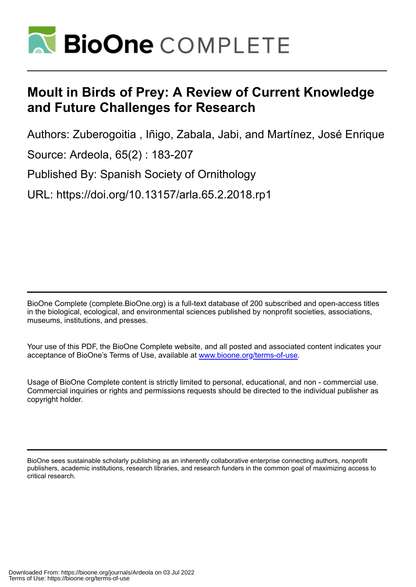

# **Moult in Birds of Prey: A Review of Current Knowledge and Future Challenges for Research**

Authors: Zuberogoitia , Iñigo, Zabala, Jabi, and Martínez, José Enrique

Source: Ardeola, 65(2) : 183-207

Published By: Spanish Society of Ornithology

URL: https://doi.org/10.13157/arla.65.2.2018.rp1

BioOne Complete (complete.BioOne.org) is a full-text database of 200 subscribed and open-access titles in the biological, ecological, and environmental sciences published by nonprofit societies, associations, museums, institutions, and presses.

Your use of this PDF, the BioOne Complete website, and all posted and associated content indicates your acceptance of BioOne's Terms of Use, available at www.bioone.org/terms-of-use.

Usage of BioOne Complete content is strictly limited to personal, educational, and non - commercial use. Commercial inquiries or rights and permissions requests should be directed to the individual publisher as copyright holder.

BioOne sees sustainable scholarly publishing as an inherently collaborative enterprise connecting authors, nonprofit publishers, academic institutions, research libraries, and research funders in the common goal of maximizing access to critical research.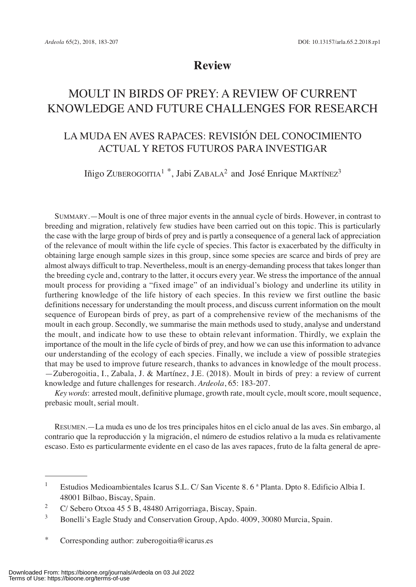# **Review**

# MOULT IN BIRDS OF PREY: A REVIEW OF CURRENT KNOWLEDGE AND FUTURE CHALLENGES FOR RESEARCH

# LA MUDA EN AVES RAPACES: REVISIÓN DEL CONOCIMIENTO ACTUAL Y RETOS FUTUROS PARA INVESTIGAR

Iñigo ZUBEROGOITIA<sup>1</sup><sup>\*</sup>, Jabi ZABALA<sup>2</sup> and José Enrique MARTÍNEZ<sup>3</sup>

SUMMARY.—Moult is one of three major events in the annual cycle of birds. However, in contrast to breeding and migration, relatively few studies have been carried out on this topic. This is particularly the case with the large group of birds of prey and is partly a consequence of a general lack of appreciation of the relevance of moult within the life cycle of species. This factor is exacerbated by the difficulty in obtaining large enough sample sizes in this group, since some species are scarce and birds of prey are almost always difficult to trap. Nevertheless, moult is an energy-demanding process that takes longer than the breeding cycle and, contrary to the latter, it occurs every year. We stress the importance of the annual moult process for providing a "fixed image" of an individual's biology and underline its utility in furthering knowledge of the life history of each species. In this review we first outline the basic definitions necessary for understanding the moult process, and discuss current information on the moult sequence of European birds of prey, as part of a comprehensive review of the mechanisms of the moult in each group. Secondly, we summarise the main methods used to study, analyse and understand the moult, and indicate how to use these to obtain relevant information. Thirdly, we explain the importance of the moult in the life cycle of birds of prey, and how we can use this information to advance our understanding of the ecology of each species. Finally, we include a view of possible strategies that may be used to improve future research, thanks to advances in knowledge of the moult process. —Zuberogoitia, I., Zabala, J. & Martínez, J.E. (2018). Moult in birds of prey: a review of current knowledge and future challenges for research. *Ardeola*, 65: 183-207.

*Key words*: arrested moult, definitive plumage, growth rate, moult cycle, moult score, moult sequence, prebasic moult, serial moult.

RESUMEN.—La muda es uno de los tres principales hitos en el ciclo anual de las aves. Sin embargo, al contrario que la reproducción y la migración, el número de estudios relativo a la muda es relativamente escaso. Esto es particularmente evidente en el caso de las aves rapaces, fruto de la falta general de apre-

- Bonelli's Eagle Study and Conservation Group, Apdo. 4009, 30080 Murcia, Spain.
- \* Corresponding author: zuberogoitia@icarus.es

<sup>&</sup>lt;sup>1</sup> Estudios Medioambientales Icarus S.L. C/ San Vicente 8. 6<sup>ª</sup> Planta. Dpto 8. Edificio Albia I. 48001 Bilbao, Biscay, Spain.

<sup>2</sup> C/ Sebero Otxoa 45 5 B, 48480 Arrigorriaga, Biscay, Spain.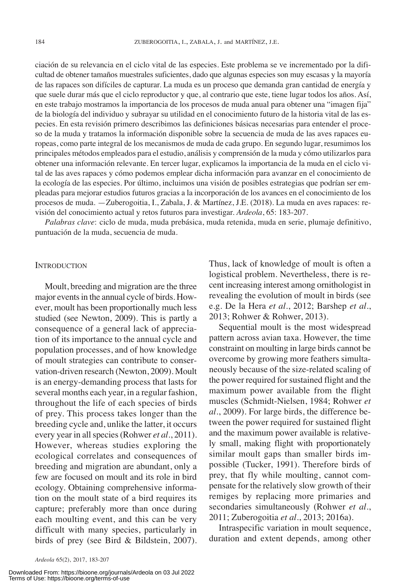ciación de su relevancia en el ciclo vital de las especies. Este problema se ve incrementado por la dificultad de obtener tamaños muestrales suficientes, dado que algunas especies son muy escasas y la mayoría de las rapaces son difíciles de capturar. La muda es un proceso que demanda gran cantidad de energía y que suele durar más que el ciclo reproductor y que, al contrario que este, tiene lugar todos los años. Así, en este trabajo mostramos la importancia de los procesos de muda anual para obtener una "imagen fija" de la biología del individuo y subrayar su utilidad en el conocimiento futuro de la historia vital de las especies. En esta revisión primero describimos las definiciones básicas necesarias para entender el proceso de la muda y tratamos la información disponible sobre la secuencia de muda de las aves rapaces europeas, como parte integral de los mecanismos de muda de cada grupo. En segundo lugar, resumimos los principales métodos empleados para el estudio, análisis y comprensión de la muda y cómo utilizarlos para obtener una información relevante. En tercer lugar, explicamos la importancia de la muda en el ciclo vital de las aves rapaces y cómo podemos emplear dicha información para avanzar en el conocimiento de la ecología de las especies. Por último, incluimos una visión de posibles estrategias que podrían ser empleadas para mejorar estudios futuros gracias a la incorporación de los avances en el conocimiento de los procesos de muda. —Zuberogoitia, I., Zabala, J. & Martínez, J.E. (2018). La muda en aves rapaces: revisión del conocimiento actual y retos futuros para investigar. *Ardeola*, 65: 183-207.

*Palabras clave*: ciclo de muda, muda prebásica, muda retenida, muda en serie, plumaje definitivo, puntuación de la muda, secuencia de muda.

#### **INTRODUCTION**

Moult, breeding and migration are the three major events in the annual cycle of birds. However, moult has been proportionally much less studied (see Newton, 2009). This is partly a consequence of a general lack of appreciation of its importance to the annual cycle and population processes, and of how knowledge of moult strategies can contribute to conservation-driven research (Newton, 2009). Moult is an energy-demanding process that lasts for several months each year, in a regular fashion, throughout the life of each species of birds of prey. This process takes longer than the breeding cycle and, unlike the latter, it occurs every year in allspecies(Rohwer *et al*., 2011). However, whereas studies exploring the ecological correlates and consequences of breeding and migration are abundant, only a few are focused on moult and its role in bird ecology. Obtaining comprehensive information on the moult state of a bird requires its capture; preferably more than once during each moulting event, and this can be very difficult with many species, particularly in birds of prey (see Bird & Bildstein, 2007).

Thus, lack of knowledge of moult is often a logistical problem. Nevertheless, there is recent increasing interest among ornithologist in revealing the evolution of moult in birds (see e.g. De la Hera *et al*., 2012; Barshep *et al*., 2013; Rohwer & Rohwer, 2013).

Sequential moult is the most widespread pattern across avian taxa. However, the time constraint on moulting in large birds cannot be overcome by growing more feathers simultaneously because of the size-related scaling of the power required for sustained flight and the maximum power available from the flight muscles (Schmidt-Nielsen, 1984; Rohwer *et al*., 2009). For large birds, the difference between the power required for sustained flight and the maximum power available is relatively small, making flight with proportionately similar moult gaps than smaller birds impossible (Tucker, 1991). Therefore birds of prey, that fly while moulting, cannot compensate for the relatively slow growth of their remiges by replacing more primaries and secondaries simultaneously (Rohwer *et al*., 2011; Zuberogoitia *et al*., 2013; 2016a).

Intraspecific variation in moult sequence, duration and extent depends, among other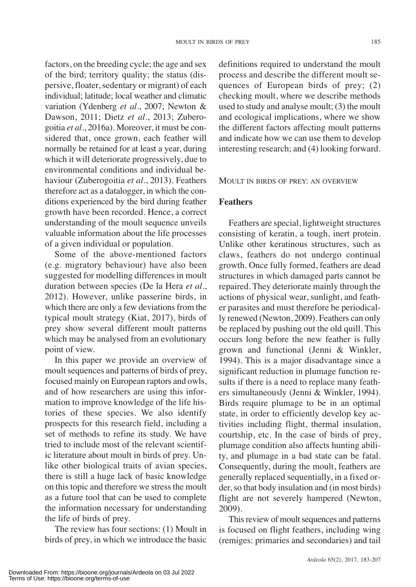factors, on the breeding cycle; the age and sex of the bird; territory quality; the status (dispersive, floater, sedentary or migrant) of each individual; latitude; local weather and climatic variation (Ydenberg *et al*., 2007; Newton & Dawson, 2011; Dietz *et al*., 2013; Zuberogoitia *et al*., 2016a). Moreover, it must be considered that, once grown, each feather will normally be retained for at least a year, during which it will deteriorate progressively, due to environmental conditions and individual behaviour (Zuberogoitia *et al*., 2013). Feathers therefore act as a datalogger, in which the conditions experienced by the bird during feather growth have been recorded. Hence, a correct understanding of the moult sequence unveils valuable information about the life processes of a given individual or population.

Some of the above-mentioned factors (e.g. migratory behaviour) have also been suggested for modelling differences in moult duration between species (De la Hera *et al*., 2012). However, unlike passerine birds, in which there are only a few deviations from the typical moult strategy (Kiat, 2017), birds of prey show several different moult patterns which may be analysed from an evolutionary point of view.

In this paper we provide an overview of moult sequences and patterns of birds of prey, focused mainly on European raptors and owls, and of how researchers are using this information to improve knowledge of the life histories of these species. We also identify prospects for this research field, including a set of methods to refine its study. We have tried to include most of the relevant scientific literature about moult in birds of prey. Unlike other biological traits of avian species, there is still a huge lack of basic knowledge on thistopic and therefore we stressthe moult as a future tool that can be used to complete the information necessary for understanding the life of birds of prey.

The review has four sections: (1) Moult in birds of prey, in which we introduce the basic

definitions required to understand the moult process and describe the different moult sequences of European birds of prey; (2) checking moult, where we describe methods used to study and analyse moult; (3) the moult and ecological implications, where we show the different factors affecting moult patterns and indicate how we can use them to develop interesting research; and (4) looking forward.

MOULT IN BIRDS OF PREY: AN OVERVIEW

# **Feathers**

Feathers are special, lightweight structures consisting of keratin, a tough, inert protein. Unlike other keratinous structures, such as claws, feathers do not undergo continual growth. Once fully formed, feathers are dead structures in which damaged parts cannot be repaired. They deteriorate mainly through the actions of physical wear, sunlight, and feather parasites and must therefore be periodically renewed (Newton, 2009). Feathers can only be replaced by pushing out the old quill. This occurs long before the new feather is fully grown and functional (Jenni & Winkler, 1994). This is a major disadvantage since a significant reduction in plumage function results if there is a need to replace many feathers simultaneously (Jenni & Winkler, 1994). Birds require plumage to be in an optimal state, in order to efficiently develop key activities including flight, thermal insulation, courtship, etc. In the case of birds of prey, plumage condition also affects hunting ability, and plumage in a bad state can be fatal. Consequently, during the moult, feathers are generally replaced sequentially, in a fixed order, so that body insulation and (in most birds) flight are not severely hampered (Newton, 2009).

This review of moult sequences and patterns is focused on flight feathers, including wing (remiges: primaries and secondaries) and tail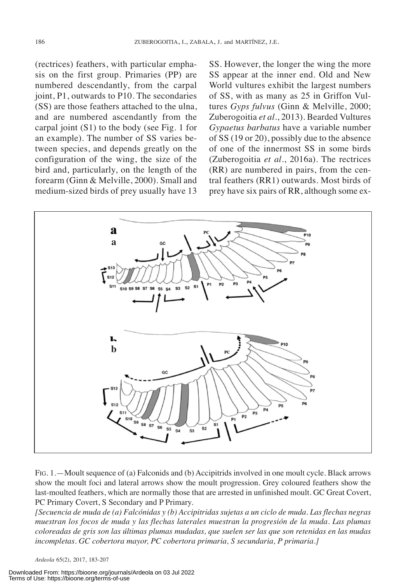(rectrices) feathers, with particular emphasis on the first group. Primaries (PP) are numbered descendantly, from the carpal joint, P1, outwards to P10. The secondaries (SS) are those feathers attached to the ulna, and are numbered ascendantly from the carpal joint (S1) to the body (see Fig. 1 for an example). The number of SS varies between species, and depends greatly on the configuration of the wing, the size of the bird and, particularly, on the length of the forearm (Ginn & Melville, 2000). Small and medium-sized birds of prey usually have 13

SS. However, the longer the wing the more SS appear at the inner end. Old and New World vultures exhibit the largest numbers of SS, with as many as 25 in Griffon Vultures *Gyps fulvus* (Ginn & Melville, 2000; Zuberogoitia *et al*., 2013). Bearded Vultures *Gypaetus barbatus* have a variable number of SS (19 or 20), possibly due to the absence of one of the innermost SS in some birds (Zuberogoitia *et al*., 2016a). The rectrices (RR) are numbered in pairs, from the central feathers (RR1) outwards. Most birds of prey have six pairs of RR, although some ex-



FIG. 1.—Moult sequence of (a) Falconids and (b) Accipitrids involved in one moult cycle. Black arrows show the moult foci and lateral arrows show the moult progression. Grey coloured feathers show the last-moulted feathers, which are normally those that are arrested in unfinished moult. GC Great Covert, PC Primary Covert, S Secondary and P Primary.

[Secuencia de muda de (a) Falcónidas y (b) Accipitridas sujetas a un ciclo de muda. Las flechas negras *muestran los focos de muda y las flechas laterales muestran la progresión de la muda. Las plumas* coloreadas de gris son las últimas plumas mudadas, que suelen ser las que son retenidas en las mudas *incompletas. GC cobertora mayor, PC cobertora primaria, S secundaria, P primaria.]*

*Ardeola* 65(2), 2017, 183-207

Downloaded From: https://bioone.org/journals/Ardeola on 03 Jul 2022 Terms of Use: https://bioone.org/terms-of-use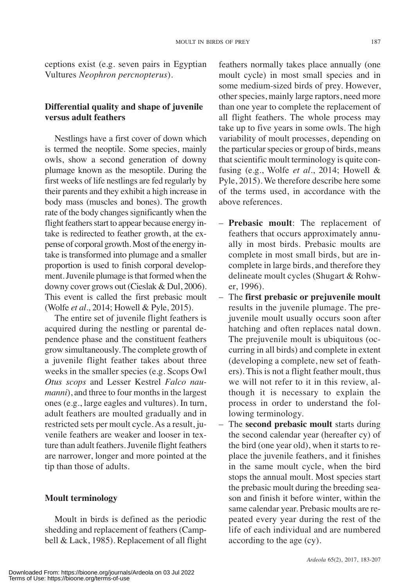ceptions exist (e.g. seven pairs in Egyptian Vultures *Neophron percnopterus*).

# **Differential quality and shape of juvenile versus adult feathers**

Nestlings have a first cover of down which is termed the neoptile. Some species, mainly owls, show a second generation of downy plumage known as the mesoptile. During the first weeks of life nestlings are fed regularly by their parents and they exhibit a high increase in body mass (muscles and bones). The growth rate of the body changes significantly when the flight feathers start to appear because energy intake is redirected to feather growth, at the expense of corporal growth. Most of the energy intake is transformed into plumage and a smaller proportion is used to finish corporal development. Juvenile plumage is that formed when the downy cover grows out (Cieslak & Dul, 2006). This event is called the first prebasic moult (Wolfe *et al*., 2014; Howell & Pyle, 2015).

The entire set of juvenile flight feathers is acquired during the nestling or parental dependence phase and the constituent feathers grow simultaneously. The complete growth of a juvenile flight feather takes about three weeks in the smaller species (e.g. Scops Owl *Otus scops* and Lesser Kestrel *Falco naumanni*), and three to four months in the largest ones (e.g., large eagles and vultures). In turn, adult feathers are moulted gradually and in restricted sets per moult cycle.As a result, juvenile feathers are weaker and looser in texture than adult feathers.Juvenile flight feathers are narrower, longer and more pointed at the tip than those of adults.

# **Moult terminology**

Moult in birds is defined as the periodic shedding and replacement of feathers(Campbell & Lack, 1985). Replacement of all flight feathers normally takes place annually (one moult cycle) in most small species and in some medium-sized birds of prey. However, other species, mainly large raptors, need more than one year to complete the replacement of all flight feathers. The whole process may take up to five years in some owls. The high variability of moult processes, depending on the particular species or group of birds, means that scientific moult terminology is quite confusing (e.g., Wolfe *et al*., 2014; Howell & Pyle, 2015). We therefore describe here some of the terms used, in accordance with the above references.

- **Prebasic moult**: The replacement of feathers that occurs approximately annually in most birds. Prebasic moults are complete in most small birds, but are incomplete in large birds, and therefore they delineate moult cycles (Shugart & Rohwer, 1996).
- The **first prebasic or prejuvenile moult** results in the juvenile plumage. The prejuvenile moult usually occurs soon after hatching and often replaces natal down. The prejuvenile moult is ubiquitous (occurring in all birds) and complete in extent (developing a complete, new set of feathers). This is not a flight feather moult, thus we will not refer to it in this review, although it is necessary to explain the process in order to understand the following terminology.
- The **second prebasic moult** starts during the second calendar year (hereafter cy) of the bird (one year old), when it starts to replace the juvenile feathers, and it finishes in the same moult cycle, when the bird stops the annual moult. Most species start the prebasic moult during the breeding season and finish it before winter, within the same calendar year. Prebasic moults are repeated every year during the rest of the life of each individual and are numbered according to the age (cy).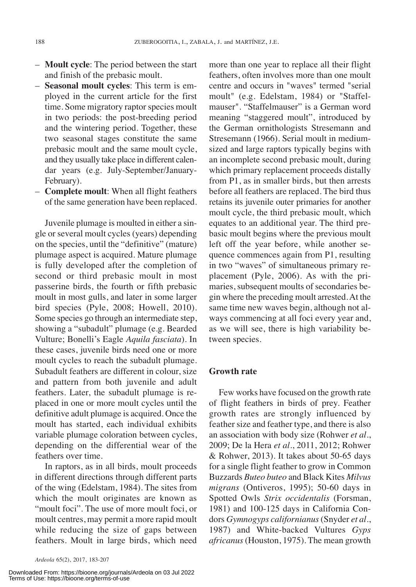- **Moult cycle**: The period between the start and finish of the prebasic moult.
- **Seasonal moult cycles**: This term is employed in the current article for the first time. Some migratory raptor species moult in two periods: the post-breeding period and the wintering period. Together, these two seasonal stages constitute the same prebasic moult and the same moult cycle, and they usually take place in different calendar years (e.g. July-September/January-February).
- **Complete moult**: When all flight feathers of the same generation have been replaced.

Juvenile plumage is moulted in either a single or several moult cycles (years) depending on the species, until the "definitive" (mature) plumage aspect is acquired. Mature plumage is fully developed after the completion of second or third prebasic moult in most passerine birds, the fourth or fifth prebasic moult in most gulls, and later in some larger bird species (Pyle, 2008; Howell, 2010). Some species go through an intermediate step, showing a "subadult" plumage (e.g. Bearded Vulture; Bonelli's Eagle *Aquila fasciata*). In these cases, juvenile birds need one or more moult cycles to reach the subadult plumage. Subadult feathers are different in colour, size and pattern from both juvenile and adult feathers. Later, the subadult plumage is replaced in one or more moult cycles until the definitive adult plumage is acquired. Once the moult has started, each individual exhibits variable plumage coloration between cycles, depending on the differential wear of the feathers over time.

In raptors, as in all birds, moult proceeds in different directions through different parts of the wing (Edelstam, 1984). The sites from which the moult originates are known as "moult foci". The use of more moult foci, or moult centres, may permit a more rapid moult while reducing the size of gaps between feathers. Moult in large birds, which need

*Ardeola* 65(2), 2017, 183-207

Downloaded From: https://bioone.org/journals/Ardeola on 03 Jul 2022 Terms of Use: https://bioone.org/terms-of-use

more than one year to replace all their flight feathers, often involves more than one moult centre and occurs in "waves" termed "serial moult" (e.g. Edelstam, 1984) or "Staffelmauser". "Staffelmauser" is a German word meaning "staggered moult", introduced by the German ornithologists Stresemann and Stresemann (1966). Serial moult in mediumsized and large raptors typically begins with an incomplete second prebasic moult, during which primary replacement proceeds distally from P1, as in smaller birds, but then arrests before all feathers are replaced. The bird thus retains its juvenile outer primaries for another moult cycle, the third prebasic moult, which equates to an additional year. The third prebasic moult begins where the previous moult left off the year before, while another sequence commences again from P1, resulting in two "waves" of simultaneous primary replacement (Pyle, 2006). As with the primaries, subsequent moults of secondaries begin where the preceding moult arrested.At the same time new waves begin, although not always commencing at all foci every year and, as we will see, there is high variability between species.

### **Growth rate**

Few works have focused on the growth rate of flight feathers in birds of prey. Feather growth rates are strongly influenced by feather size and feather type, and there is also an association with body size (Rohwer *et al*., 2009; De la Hera *et al*., 2011, 2012; Rohwer & Rohwer, 2013). It takes about 50-65 days for a single flight feather to grow in Common Buzzards *Buteo buteo* and Black Kites *Milvus migrans* (Ontiveros, 1995); 50-60 days in Spotted Owls *Strix occidentalis* (Forsman, 1981) and 100-125 days in California Condors *Gymnogyps californianus*(Snyder *et al*., 1987) and White-backed Vultures *Gyps africanus* (Houston, 1975). The mean growth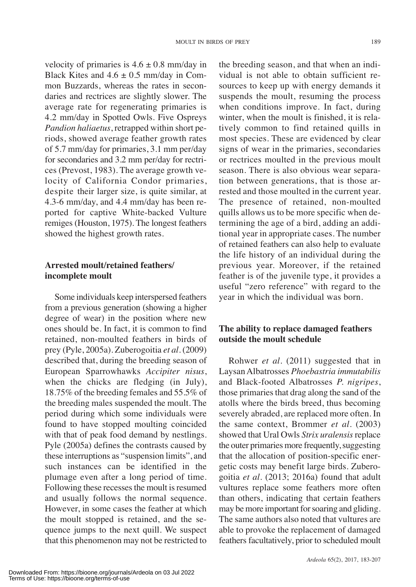velocity of primaries is  $4.6 \pm 0.8$  mm/day in Black Kites and  $4.6 \pm 0.5$  mm/day in Common Buzzards, whereas the rates in secondaries and rectrices are slightly slower. The average rate for regenerating primaries is 4.2 mm/day in Spotted Owls. Five Ospreys *Pandion haliaetus*, retrapped within short periods, showed average feather growth rates of 5.7 mm/day for primaries, 3.1 mm per/day for secondaries and 3.2 mm per/day for rectrices (Prevost, 1983). The average growth velocity of California Condor primaries, despite their larger size, is quite similar, at 4.3-6 mm/day, and 4.4 mm/day has been reported for captive White-backed Vulture remiges (Houston, 1975). The longest feathers showed the highest growth rates.

# **Arrested moult/retained feathers/ incomplete moult**

Some individuals keep interspersed feathers from a previous generation (showing a higher degree of wear) in the position where new ones should be. In fact, it is common to find retained, non-moulted feathers in birds of prey (Pyle, 2005a). Zuberogoitia *et al*. (2009) described that, during the breeding season of European Sparrowhawks *Accipiter nisus*, when the chicks are fledging (in July), 18.75% of the breeding females and 55.5% of the breeding males suspended the moult. The period during which some individuals were found to have stopped moulting coincided with that of peak food demand by nestlings. Pyle (2005a) defines the contrasts caused by these interruptions as "suspension limits", and such instances can be identified in the plumage even after a long period of time. Following these recesses the moult is resumed and usually follows the normal sequence. However, in some cases the feather at which the moult stopped is retained, and the sequence jumps to the next quill. We suspect that this phenomenon may not be restricted to

the breeding season, and that when an individual is not able to obtain sufficient resources to keep up with energy demands it suspends the moult, resuming the process when conditions improve. In fact, during winter, when the moult is finished, it is relatively common to find retained quills in most species. These are evidenced by clear signs of wear in the primaries, secondaries or rectrices moulted in the previous moult season. There is also obvious wear separation between generations, that is those arrested and those moulted in the current year. The presence of retained, non-moulted quills allows us to be more specific when determining the age of a bird, adding an additional year in appropriate cases. The number of retained feathers can also help to evaluate the life history of an individual during the previous year. Moreover, if the retained feather is of the juvenile type, it provides a useful "zero reference" with regard to the year in which the individual was born.

# **The ability to replace damaged feathers outside the moult schedule**

Rohwer *et al*. (2011) suggested that in LaysanAlbatrosses *Phoebastria immutabilis* and Black-footed Albatrosses *P. nigripes*, those primaries that drag along the sand of the atolls where the birds breed, thus becoming severely abraded, are replaced more often. In the same context, Brommer *et al*. (2003) showed that Ural Owls *Strix uralensis*replace the outer primaries more frequently, suggesting that the allocation of position-specific energetic costs may benefit large birds. Zuberogoitia *et al*. (2013; 2016a) found that adult vultures replace some feathers more often than others, indicating that certain feathers may be more important for soaring and gliding. The same authors also noted that vultures are able to provoke the replacement of damaged feathers facultatively, prior to scheduled moult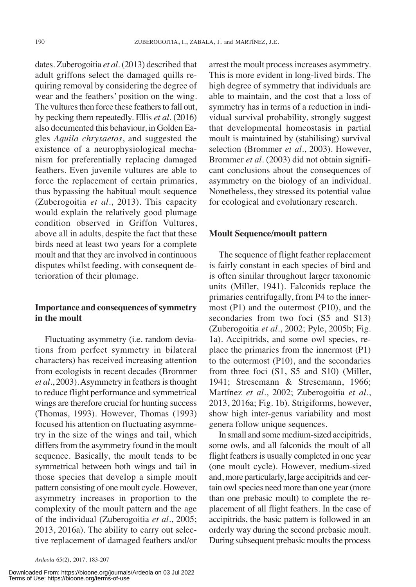dates. Zuberogoitia *et al*. (2013) described that adult griffons select the damaged quills requiring removal by considering the degree of wear and the feathers' position on the wing. The vultures then force these feathers to fall out, by pecking them repeatedly. Ellis *et al*. (2016) also documented this behaviour, in Golden Eagles *Aquila chrysaetos*, and suggested the existence of a neurophysiological mechanism for preferentially replacing damaged feathers. Even juvenile vultures are able to force the replacement of certain primaries, thus bypassing the habitual moult sequence (Zuberogoitia *et al*., 2013). This capacity would explain the relatively good plumage condition observed in Griffon Vultures, above all in adults, despite the fact that these birds need at least two years for a complete moult and that they are involved in continuous disputes whilst feeding, with consequent deterioration of their plumage.

# **Importance** and **consequences** of symmetry **in the moult**

Fluctuating asymmetry (i.e. random deviations from perfect symmetry in bilateral characters) has received increasing attention from ecologists in recent decades (Brommer et *al*., 2003). Asymmetry in feathers is thought to reduce flight performance and symmetrical wings are therefore crucial for hunting success (Thomas, 1993). However, Thomas (1993) focused his attention on fluctuating asymmetry in the size of the wings and tail, which differs from the asymmetry found in the moult sequence. Basically, the moult tends to be symmetrical between both wings and tail in those species that develop a simple moult pattern consisting of one moult cycle. However, asymmetry increases in proportion to the complexity of the moult pattern and the age of the individual (Zuberogoitia *et al*., 2005; 2013, 2016a). The ability to carry out selective replacement of damaged feathers and/or

Downloaded From: https://bioone.org/journals/Ardeola on 03 Jul 2022 Terms of Use: https://bioone.org/terms-of-use

arrest the moult processincreases asymmetry. This is more evident in long-lived birds. The high degree of symmetry that individuals are able to maintain, and the cost that a loss of symmetry has in terms of a reduction in individual survival probability, strongly suggest that developmental homeostasis in partial moult is maintained by (stabilising) survival selection (Brommer *et al*., 2003). However, Brommer *et al*. (2003) did not obtain significant conclusions about the consequences of asymmetry on the biology of an individual. Nonetheless, they stressed its potential value for ecological and evolutionary research.

#### **Moult Sequence/moult pattern**

The sequence of flight feather replacement is fairly constant in each species of bird and is often similar throughout larger taxonomic units (Miller, 1941). Falconids replace the primaries centrifugally, from P4 to the innermost (P1) and the outermost (P10), and the secondaries from two foci (S5 and S13) (Zuberogoitia *et al*., 2002; Pyle, 2005b; Fig. 1a). Accipitrids, and some owl species, replace the primaries from the innermost (P1) to the outermost (P10), and the secondaries from three foci (S1, S5 and S10) (Miller, 1941; Stresemann & Stresemann, 1966; Martínez *et al*., 2002; Zuberogoitia *et al*., 2013, 2016a; Fig. 1b). Strigiforms, however, show high inter-genus variability and most genera follow unique sequences.

In small and some medium-sized accipitrids, some owls, and all falconids the moult of all flight feathers is usually completed in one year (one moult cycle). However, medium-sized and,more particularly, large accipitrids and certain owlspecies need more than one year(more than one prebasic moult) to complete the replacement of all flight feathers. In the case of accipitrids, the basic pattern is followed in an orderly way during the second prebasic moult. During subsequent prebasic moults the process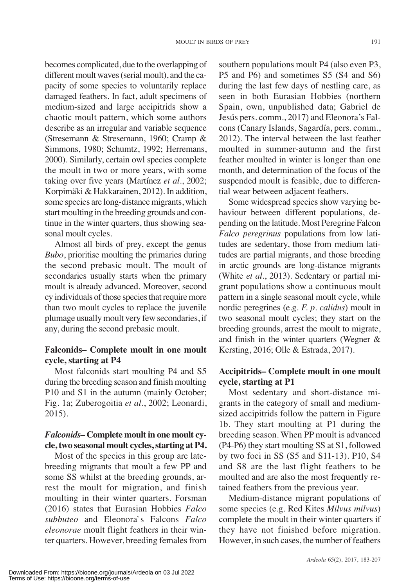becomes complicated, due to the overlapping of different moult waves (serial moult), and the capacity of some species to voluntarily replace damaged feathers. In fact, adult specimens of medium-sized and large accipitrids show a chaotic moult pattern, which some authors describe as an irregular and variable sequence (Stresemann & Stresemann, 1960; Cramp & Simmons, 1980; Schumtz, 1992; Herremans, 2000). Similarly, certain owl species complete the moult in two or more years, with some taking over five years (Martínez *et al*., 2002; Korpimäki & Hakkarainen, 2012). In addition, some species are long-distance migrants, which start moulting in the breeding grounds and continue in the winter quarters, thus showing seasonal moult cycles.

Almost all birds of prey, except the genus *Bubo*, prioritise moulting the primaries during the second prebasic moult. The moult of secondaries usually starts when the primary moult is already advanced. Moreover, second cy individuals of those species that require more than two moult cycles to replace the juvenile plumage usually moult very few secondaries, if any, during the second prebasic moult.

# **Falconids– Complete moult in one moult cycle, starting at P4**

Most falconids start moulting P4 and S5 during the breeding season and finish moulting P10 and S1 in the autumn (mainly October; Fig. 1a; Zuberogoitia *et al*., 2002; Leonardi, 2015).

# *Falconids–* **Complete moult in one moult cycle, two seasonal moult cycles,starting at P4.**

Most of the species in this group are latebreeding migrants that moult a few PP and some SS whilst at the breeding grounds, arrest the moult for migration, and finish moulting in their winter quarters. Forsman (2016) states that Eurasian Hobbies *Falco subbuteo* and Eleonora`s Falcons *Falco eleonorae* moult flight feathers in their winter quarters. However, breeding females from

southern populations moult P4 (also even P3, P5 and P6) and sometimes S5 (S4 and S6) during the last few days of nestling care, as seen in both Eurasian Hobbies (northern Spain, own, unpublished data; Gabriel de Jesús pers. comm., 2017) and Eleonora's Falcons (Canary Islands, Sagardía, pers. comm., 2012). The interval between the last feather moulted in summer-autumn and the first feather moulted in winter is longer than one month, and determination of the focus of the suspended moult is feasible, due to differential wear between adjacent feathers.

Some widespread species show varying behaviour between different populations, depending on the latitude. Most Peregrine Falcon *Falco peregrinus* populations from low latitudes are sedentary, those from medium latitudes are partial migrants, and those breeding in arctic grounds are long-distance migrants (White *et al*., 2013). Sedentary or partial migrant populations show a continuous moult pattern in a single seasonal moult cycle, while nordic peregrines (e.g. *F. p. calidus*) moult in two seasonal moult cycles; they start on the breeding grounds, arrest the moult to migrate, and finish in the winter quarters (Wegner & Kersting, 2016; Olle & Estrada, 2017).

# **Accipitrids– Complete moult in one moult cycle, starting at P1**

Most sedentary and short-distance migrants in the category of small and mediumsized accipitrids follow the pattern in Figure 1b. They start moulting at P1 during the breeding season. When PP moult is advanced (P4-P6) they start moulting SS at S1, followed by two foci in SS (S5 and S11-13). P10, S4 and S8 are the last flight feathers to be moulted and are also the most frequently retained feathers from the previous year.

Medium-distance migrant populations of some species (e.g. Red Kites *Milvus milvus*) complete the moult in their winter quarters if they have not finished before migration. However, in such cases, the number of feathers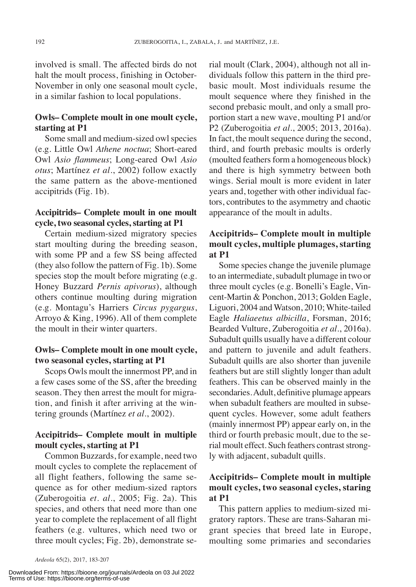involved is small. The affected birds do not halt the moult process, finishing in October-November in only one seasonal moult cycle, in a similar fashion to local populations.

### **Owls– Complete moult in one moult cycle, starting at P1**

Some small and medium-sized owl species (e.g. Little Owl *Athene noctua*; Short-eared Owl *Asio flammeus*; Long-eared Owl *Asio otus*; Martínez *et al*., 2002) follow exactly the same pattern as the above-mentioned accipitrids (Fig. 1b).

# **Accipitrids– Complete moult in one moult cycle, two seasonal cycles, starting at P1**

Certain medium-sized migratory species start moulting during the breeding season, with some PP and a few SS being affected (they also follow the pattern of Fig. 1b). Some species stop the moult before migrating (e.g. Honey Buzzard *Pernis apivorus*), although others continue moulting during migration (e.g. Montagu's Harriers *Circus pygargus*, Arroyo & King, 1996). All of them complete the moult in their winter quarters.

# **Owls– Complete moult in one moult cycle, two seasonal cycles, starting at P1**

Scops Owls moult the innermost PP, and in a few cases some of the SS, after the breeding season. They then arrest the moult for migration, and finish it after arriving at the wintering grounds (Martínez *et al*., 2002).

# **Accipitrids– Complete moult in multiple moult cycles, starting at P1**

Common Buzzards, for example, need two moult cycles to complete the replacement of all flight feathers, following the same sequence as for other medium-sized raptors (Zuberogoitia *et. al*., 2005; Fig. 2a). This species, and others that need more than one year to complete the replacement of all flight feathers (e.g. vultures, which need two or three moult cycles; Fig. 2b), demonstrate serial moult (Clark, 2004), although not all individuals follow this pattern in the third prebasic moult. Most individuals resume the moult sequence where they finished in the second prebasic moult, and only a small proportion start a new wave, moulting P1 and/or P2 (Zuberogoitia *et al*., 2005; 2013, 2016a). In fact, the moult sequence during the second, third, and fourth prebasic moults is orderly (moulted feathers form a homogeneous block) and there is high symmetry between both wings. Serial moult is more evident in later years and, together with other individual factors, contributes to the asymmetry and chaotic appearance of the moult in adults.

# **Accipitrids– Complete moult in multiple moult cycles, multiple plumages, starting at P1**

Some species change the juvenile plumage to an intermediate, subadult plumage in two or three moult cycles (e.g. Bonelli's Eagle, Vincent-Martin & Ponchon, 2013; Golden Eagle, Liguori, 2004 and Watson, 2010; White-tailed Eagle *Haliaeetus albicilla*, Forsman, 2016; Bearded Vulture, Zuberogoitia *et al*., 2016a). Subadult quills usually have a different colour and pattern to juvenile and adult feathers. Subadult quills are also shorter than juvenile feathers but are still slightly longer than adult feathers. This can be observed mainly in the secondaries.Adult, definitive plumage appears when subadult feathers are moulted in subsequent cycles. However, some adult feathers (mainly innermost PP) appear early on, in the third or fourth prebasic moult, due to the serial moult effect. Such feathers contrast strongly with adjacent, subadult quills.

# **Accipitrids– Complete moult in multiple moult cycles, two seasonal cycles, staring at P1**

This pattern applies to medium-sized migratory raptors. These are trans-Saharan migrant species that breed late in Europe, moulting some primaries and secondaries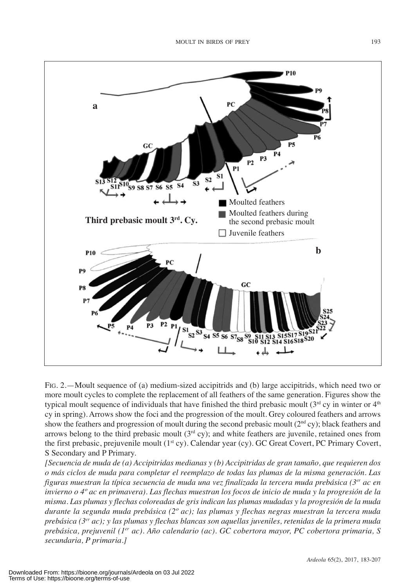

FIG. 2.—Moult sequence of (a) medium-sized accipitrids and (b) large accipitrids, which need two or more moult cycles to complete the replacement of all feathers of the same generation. Figures show the typical moult sequence of individuals that have finished the third prebasic moult  $(3<sup>rd</sup>$  cy in winter or  $4<sup>th</sup>$ cy in spring). Arrows show the foci and the progression of the moult. Grey coloured feathers and arrows show the feathers and progression of moult during the second prebasic moult ( $2<sup>nd</sup>$ cy); black feathers and arrows belong to the third prebasic moult  $(3<sup>rd</sup> cy)$ ; and white feathers are juvenile, retained ones from the first prebasic, prejuvenile moult (1<sup>st</sup> cy). Calendar year (cy). GC Great Covert, PC Primary Covert, S Secondary and P Primary.

*[Secuencia de muda de (a) Accipitridas medianas y (b) Accipitridas de gran tamaño, que requieren dos o más ciclos de muda para completar el reemplazo de todas las plumas de la misma generación. Las figuras muestran la típica secuencia de muda una vez finalizada la tercera muda prebásica (3er ac en* invierno o 4º ac en primavera). Las flechas muestran los focos de inicio de muda y la progresión de la misma. Las plumas y flechas coloreadas de gris indican las plumas mudadas y la progresión de la muda *durante la segunda muda prebásica (2º ac); las plumas y flechas negras muestran la tercera muda prebásica (3er ac); y las plumas y flechas blancas son aquellas juveniles, retenidas de la primera muda prebásica, prejuvenil (1er ac). Año calendario (ac). GC cobertora mayor, PC cobertora primaria, S secundaria, P primaria.]*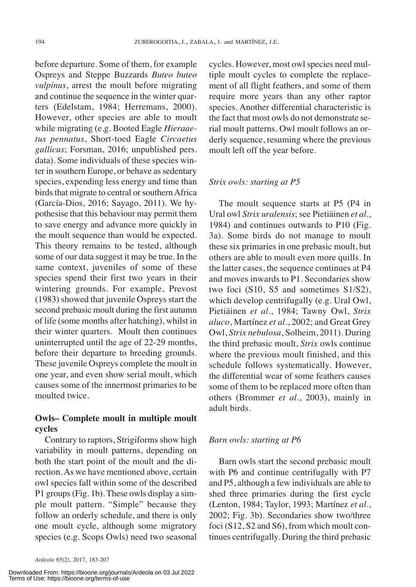before departure. Some of them, for example Ospreys and Steppe Buzzards *Buteo buteo vulpinus*, arrest the moult before migrating and continue the sequence in the winter quarters (Edelstam, 1984; Herremans, 2000). However, other species are able to moult while migrating (e.g. Booted Eagle *Hieraaetus pennatus*, Short-toed Eagle *Circaetus gallicus*; Forsman, 2016; unpublished pers. data). Some individuals of these species winter in southern Europe, or behave as sedentary species, expending less energy and time than birds that migrate to central or southern Africa (García-Dios, 2016; Sayago, 2011). We hypothesise that this behaviour may permit them to save energy and advance more quickly in the moult sequence than would be expected. This theory remains to be tested, although some of our data suggest it may be true. In the same context, juveniles of some of these species spend their first two years in their wintering grounds. For example, Prevost (1983) showed that juvenile Ospreys start the second prebasic moult during the first autumn of life (some months after hatching), whilst in their winter quarters. Moult then continues uninterrupted until the age of 22-29 months, before their departure to breeding grounds. These juvenile Ospreys complete the moult in one year, and even show serial moult, which causes some of the innermost primaries to be moulted twice.

### **Owls– Complete moult in multiple moult cycles**

Contrary to raptors, Strigiforms show high variability in moult patterns, depending on both the start point of the moult and the direction.As we have mentioned above, certain owl species fall within some of the described P1 groups(Fig. 1b). These owls display a simple moult pattern. "Simple" because they follow an orderly schedule, and there is only one moult cycle, although some migratory species (e.g. Scops Owls) need two seasonal

Downloaded From: https://bioone.org/journals/Ardeola on 03 Jul 2022 Terms of Use: https://bioone.org/terms-of-use

cycles. However, most owlspecies need multiple moult cycles to complete the replacement of all flight feathers, and some of them require more years than any other raptor species. Another differential characteristic is the fact that most owls do not demonstrate serial moult patterns. Owl moult follows an orderly sequence, resuming where the previous moult left off the year before.

#### *Strix owls: starting at P5*

The moult sequence starts at P5 (P4 in Ural owl *Strix uralensis*; see Pietiäinen *et al*., 1984) and continues outwards to P10 (Fig. 3a). Some birds do not manage to moult these six primaries in one prebasic moult, but others are able to moult even more quills. In the latter cases, the sequence continues at P4 and moves inwards to P1. Secondaries show two foci (S10, S5 and sometimes S1/S2), which develop centrifugally (e.g. Ural Owl, Pietiäinen *et al*., 1984; Tawny Owl, *Strix aluco*, Martínez *et al*., 2002; and Great Grey Owl, *Strix nebulosa*, Solheim, 2011). During the third prebasic moult, *Strix* owls continue where the previous moult finished, and this schedule follows systematically. However, the differential wear of some feathers causes some of them to be replaced more often than others (Brommer *et al*., 2003), mainly in adult birds.

#### *Barn owls: starting at P6*

Barn owls start the second prebasic moult with P6 and continue centrifugally with P7 and P5, although a few individuals are able to shed three primaries during the first cycle (Lenton, 1984; Taylor, 1993; Martínez *et al*., 2002; Fig. 3b). Secondaries show two/three foci (S12, S2 and S6), from which moult continues centrifugally. During the third prebasic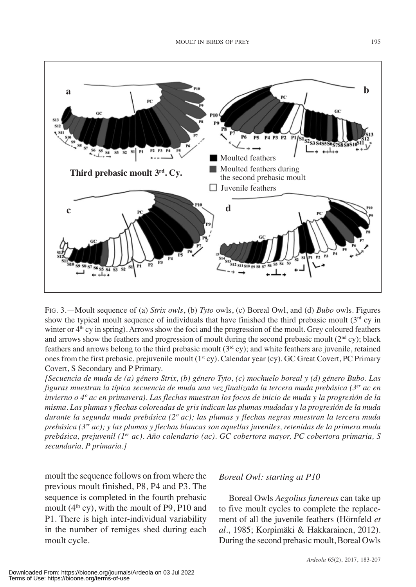

FIG. 3.—Moult sequence of (a) *Strix owls*, (b) *Tyto* owls, (c) Boreal Owl, and (d) *Bubo* owls. Figures show the typical moult sequence of individuals that have finished the third prebasic moult (3<sup>rd</sup> cy in winter or  $4<sup>th</sup>$  cy in spring). Arrows show the foci and the progression of the moult. Grey coloured feathers and arrows show the feathers and progression of moult during the second prebasic moult  $(2<sup>nd</sup> cy)$ ; black feathers and arrows belong to the third prebasic moult  $(3<sup>rd</sup> cy)$ ; and white feathers are juvenile, retained ones from the first prebasic, prejuvenile moult  $(1<sup>st</sup> cy)$ . Calendar year (cy). GC Great Covert, PC Primary Covert, S Secondary and P Primary.

(Secuencia de muda de (a) género Strix, (b) género Tyto, (c) mochuelo boreal y (d) género Bubo. Las *figuras muestran la típica secuencia de muda una vez finalizada la tercera muda prebásica (3er ac en* invierno o 4º ac en primavera). Las flechas muestran los focos de inicio de muda y la progresión de la misma. Las plumas y flechas coloreadas de gris indican las plumas mudadas y la progresión de la muda *durante la segunda muda prebásica (2º ac); las plumas y flechas negras muestran la tercera muda prebásica (3er ac); y las plumas y flechas blancas son aquellas juveniles, retenidas de la primera muda prebásica, prejuvenil (1er ac). Año calendario (ac). GC cobertora mayor, PC cobertora primaria, S secundaria, P primaria.]*

moult the sequence follows on from where the previous moult finished, P8, P4 and P3. The sequence is completed in the fourth prebasic moult  $(4<sup>th</sup> cy)$ , with the moult of P9, P10 and P1. There is high inter-individual variability in the number of remiges shed during each moult cycle.

### *Boreal Owl: starting at P10*

Boreal Owls *Aegolius funereus* can take up to five moult cycles to complete the replacement of all the juvenile feathers (Hörnfeld *et al*., 1985; Korpimäki & Hakkarainen, 2012). During the second prebasic moult, Boreal Owls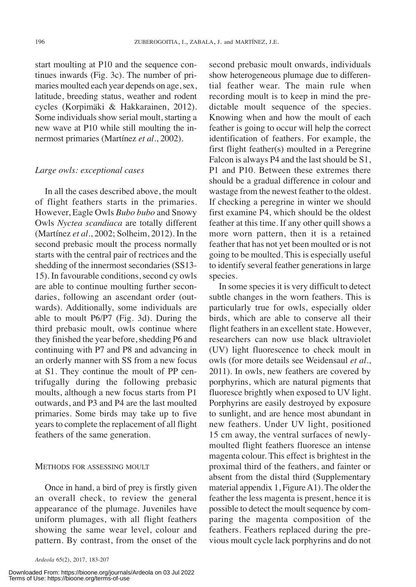start moulting at P10 and the sequence continues inwards (Fig. 3c). The number of primaries moulted each year depends on age, sex, latitude, breeding status, weather and rodent cycles (Korpimäki & Hakkarainen, 2012). Some individuals show serial moult, starting a new wave at P10 while still moulting the innermost primaries (Martínez *et al*., 2002).

#### *Large owls: exceptional cases*

In all the cases described above, the moult of flight feathers starts in the primaries. However, Eagle Owls *Bubo bubo* and Snowy Owls *Nyctea scandiaca* are totally different (Martínez *et al*., 2002; Solheim, 2012). In the second prebasic moult the process normally starts with the central pair of rectrices and the shedding of the innermost secondaries (SS13-15). In favourable conditions, second cy owls are able to continue moulting further secondaries, following an ascendant order (outwards). Additionally, some individuals are able to moult P6/P7 (Fig. 3d). During the third prebasic moult, owls continue where they finished the year before, shedding P6 and continuing with P7 and P8 and advancing in an orderly manner with SS from a new focus at S1. They continue the moult of PP centrifugally during the following prebasic moults, although a new focus starts from P1 outwards, and P3 and P4 are the last moulted primaries. Some birds may take up to five years to complete the replacement of all flight feathers of the same generation.

#### METHODS FOR ASSESSING MOULT

Once in hand, a bird of prey is firstly given an overall check, to review the general appearance of the plumage. Juveniles have uniform plumages, with all flight feathers showing the same wear level, colour and pattern. By contrast, from the onset of the

Downloaded From: https://bioone.org/journals/Ardeola on 03 Jul 2022 Terms of Use: https://bioone.org/terms-of-use

second prebasic moult onwards, individuals show heterogeneous plumage due to differential feather wear. The main rule when recording moult is to keep in mind the predictable moult sequence of the species. Knowing when and how the moult of each feather is going to occur will help the correct identification of feathers. For example, the first flight feather(s) moulted in a Peregrine Falcon is always P4 and the last should be S1, P1 and P10. Between these extremes there should be a gradual difference in colour and wastage from the newest feather to the oldest. If checking a peregrine in winter we should first examine P4, which should be the oldest feather at this time. If any other quill shows a more worn pattern, then it is a retained feather that has not yet been moulted or is not going to be moulted. This is especially useful to identify several feather generations in large species.

In some species it is very difficult to detect subtle changes in the worn feathers. This is particularly true for owls, especially older birds, which are able to conserve all their flight feathers in an excellent state. However, researchers can now use black ultraviolet (UV) light fluorescence to check moult in owls (for more details see Weidensaul *et al*., 2011). In owls, new feathers are covered by porphyrins, which are natural pigments that fluoresce brightly when exposed to UV light. Porphyrins are easily destroyed by exposure to sunlight, and are hence most abundant in new feathers. Under UV light, positioned 15 cm away, the ventral surfaces of newlymoulted flight feathers fluoresce an intense magenta colour. This effect is brightest in the proximal third of the feathers, and fainter or absent from the distal third (Supplementary material appendix 1, Figure A1). The older the feather the less magenta is present, hence it is possible to detect the moult sequence by comparing the magenta composition of the feathers. Feathers replaced during the previous moult cycle lack porphyrins and do not

*Ardeola* 65(2), 2017, 183-207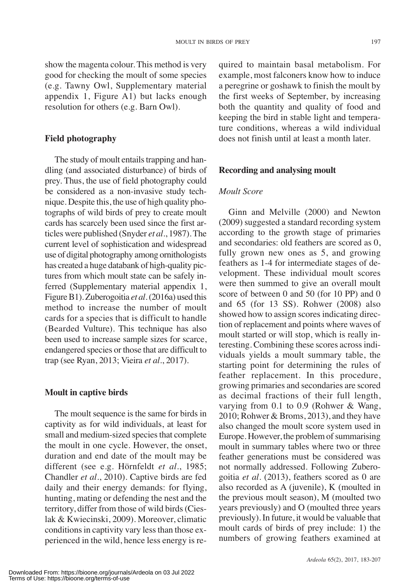be considered as a non-invasive study technique. Despite this, the use of high quality photographs of wild birds of prey to create moult cards has scarcely been used since the first articles were published (Snyder *et al*., 1987).The current level of sophistication and widespread use of digital photography among ornithologists has created a huge databank of high-quality pictures from which moult state can be safely inferred (Supplementary material appendix 1, method to increase the number of moult cards for a species that is difficult to handle *Moult Score*

# **Field photography**

show the magenta colour. This method is very good for checking the moult of some species (e.g. Tawny Owl, Supplementary material appendix 1, Figure A1) but lacks enough resolution for others (e.g. Barn Owl).

The study of moult entails trapping and handling (and associated disturbance) of birds of prey. Thus, the use of field photography could

quired to maintain basal metabolism. For example, most falconers know how to induce a peregrine or goshawk to finish the moult by the first weeks of September, by increasing both the quantity and quality of food and keeping the bird in stable light and temperature conditions, whereas a wild individual does not finish until at least a month later.

# **Recording and analysing moult**

Ginn and Melville (2000) and Newton (2009) suggested a standard recording system according to the growth stage of primaries and secondaries: old feathers are scored as 0, fully grown new ones as 5, and growing feathers as 1-4 for intermediate stages of development. These individual moult scores were then summed to give an overall moult score of between 0 and 50 (for 10 PP) and 0 and 65 (for 13 SS). Rohwer (2008) also showed how to assign scores indicating direction of replacement and points where waves of moult started or will stop, which is really interesting. Combining these scores acrossindividuals yields a moult summary table, the starting point for determining the rules of feather replacement. In this procedure, growing primaries and secondaries are scored as decimal fractions of their full length, varying from 0.1 to 0.9 (Rohwer & Wang, 2010; Rohwer & Broms, 2013), and they have also changed the moult score system used in Europe. However, the problem of summarising moult in summary tables where two or three feather generations must be considered was not normally addressed. Following Zuberogoitia *et al*. (2013), feathers scored as 0 are also recorded as A (juvenile), K (moulted in the previous moult season), M (moulted two years previously) and O (moulted three years previously). In future, it would be valuable that moult cards of birds of prey include: 1) the numbers of growing feathers examined at

# **Moult in captive birds**

The moult sequence is the same for birds in captivity as for wild individuals, at least for small and medium-sized species that complete the moult in one cycle. However, the onset, duration and end date of the moult may be different (see e.g. Hörnfeldt *et al*., 1985; Chandler *et al*., 2010). Captive birds are fed daily and their energy demands: for flying, hunting, mating or defending the nest and the territory, differ from those of wild birds(Cieslak & Kwiecinski, 2009). Moreover, climatic conditions in captivity vary less than those experienced in the wild, hence less energy is re-

(Bearded Vulture). This technique has also been used to increase sample sizes for scarce, endangered species or those that are difficult to trap (see Ryan, 2013; Vieira *et al*., 2017).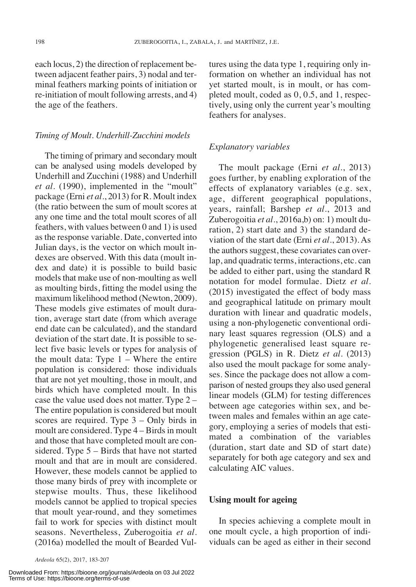each locus, 2) the direction of replacement between adjacent feather pairs, 3) nodal and terminal feathers marking points of initiation or re-initiation of moult following arrests, and 4) the age of the feathers.

#### *Timing of Moult. Underhill-Zucchini models*

The timing of primary and secondary moult can be analysed using models developed by Underhill and Zucchini (1988) and Underhill *et al*. (1990), implemented in the "moult" package (Erni *et al*., 2013) for R. Moult index (the ratio between the sum of moult scores at any one time and the total moult scores of all feathers, with values between 0 and 1) is used as the response variable. Date, converted into Julian days, is the vector on which moult indexes are observed. With this data (moult index and date) it is possible to build basic models that make use of non-moulting as well as moulting birds, fitting the model using the maximum likelihood method (Newton, 2009). These models give estimates of moult duration, average start date (from which average end date can be calculated), and the standard deviation of the start date. It is possible to select five basic levels or types for analysis of the moult data: Type  $1 -$  Where the entire population is considered: those individuals that are not yet moulting, those in moult, and birds which have completed moult. In this case the value used does not matter. Type 2 – The entire population is considered but moult scores are required. Type 3 – Only birds in moult are considered. Type  $4 - B$ irds in moult and those that have completed moult are considered. Type 5 – Birds that have not started moult and that are in moult are considered. However, these models cannot be applied to those many birds of prey with incomplete or stepwise moults. Thus, these likelihood models cannot be applied to tropical species that moult year-round, and they sometimes fail to work for species with distinct moult seasons. Nevertheless, Zuberogoitia *et al*. (2016a) modelled the moult of Bearded Vultures using the data type 1, requiring only information on whether an individual has not yet started moult, is in moult, or has completed moult, coded as 0, 0.5, and 1, respectively, using only the current year's moulting feathers for analyses.

#### *Explanatory variables*

The moult package (Erni *et al*., 2013) goes further, by enabling exploration of the effects of explanatory variables (e.g. sex, age, different geographical populations, years, rainfall; Barshep *et al*., 2013 and Zuberogoitia *et al*., 2016a,b) on: 1) moult duration, 2) start date and 3) the standard deviation of the start date (Erni *et al*., 2013). As the authors suggest, these covariates can overlap, and quadratic terms, interactions, etc. can be added to either part, using the standard R notation for model formulae. Dietz *et al*. (2015) investigated the effect of body mass and geographical latitude on primary moult duration with linear and quadratic models, using a non-phylogenetic conventional ordinary least squares regression (OLS) and a phylogenetic generalised least square regression (PGLS) in R. Dietz *et al*. (2013) also used the moult package for some analyses. Since the package does not allow a comparison of nested groups they also used general linear models (GLM) for testing differences between age categories within sex, and between males and females within an age category, employing a series of models that estimated a combination of the variables (duration, start date and SD of start date) separately for both age category and sex and calculating AIC values.

#### **Using moult for ageing**

In species achieving a complete moult in one moult cycle, a high proportion of individuals can be aged as either in their second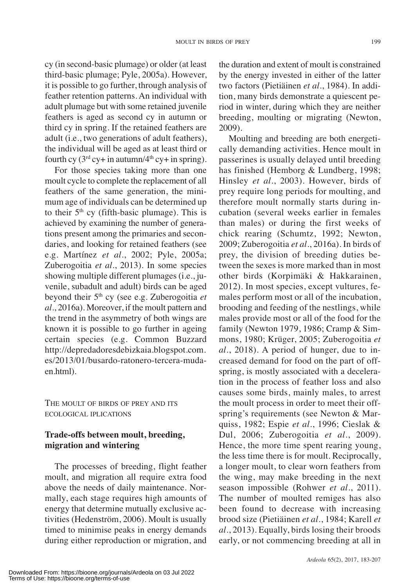cy (in second-basic plumage) or older (at least third-basic plumage; Pyle, 2005a). However, it is possible to go further, through analysis of feather retention patterns. An individual with adult plumage but with some retained juvenile feathers is aged as second cy in autumn or third cy in spring. If the retained feathers are adult (i.e., two generations of adult feathers), the individual will be aged as at least third or fourth cy  $(3<sup>rd</sup> cy + in autumn/4<sup>th</sup> cy + in spring)$ .

For those species taking more than one moult cycle to complete the replacement of all feathers of the same generation, the minimum age of individuals can be determined up to their  $5<sup>th</sup>$  cy (fifth-basic plumage). This is achieved by examining the number of generations present among the primaries and secondaries, and looking for retained feathers (see e.g. Martínez *et al*., 2002; Pyle, 2005a; Zuberogoitia *et al*., 2013). In some species showing multiple different plumages(i.e., juvenile, subadult and adult) birds can be aged beyond their 5<sup>th</sup> cy (see e.g. Zuberogoitia *et al*., 2016a). Moreover, if the moult pattern and the trend in the asymmetry of both wings are known it is possible to go further in ageing certain species (e.g. Common Buzzard http://depredadoresdebizkaia.blogspot.com. es/2013/01/busardo-ratonero-tercera-mudaen.html).

THE MOULT OF BIRDS OF PREY AND ITS ECOLOGICAL IPLICATIONS

# **Trade-offs between moult, breeding, migration and wintering**

The processes of breeding, flight feather moult, and migration all require extra food above the needs of daily maintenance. Normally, each stage requires high amounts of energy that determine mutually exclusive activities (Hedenström, 2006). Moult is usually timed to minimise peaks in energy demands during either reproduction or migration, and

the duration and extent of moult is constrained by the energy invested in either of the latter two factors (Pietiäinen *et al*., 1984). In addition, many birds demonstrate a quiescent period in winter, during which they are neither breeding, moulting or migrating (Newton, 2009).

Moulting and breeding are both energetically demanding activities. Hence moult in passerines is usually delayed until breeding has finished (Hemborg & Lundberg, 1998; Hinsley *et al*., 2003). However, birds of prey require long periods for moulting, and therefore moult normally starts during incubation (several weeks earlier in females than males) or during the first weeks of chick rearing (Schumtz, 1992; Newton, 2009; Zuberogoitia *et al*., 2016a). In birds of prey, the division of breeding duties between the sexes is more marked than in most other birds (Korpimäki & Hakkarainen, 2012). In most species, except vultures, females perform most or all of the incubation, brooding and feeding of the nestlings, while males provide most or all of the food for the family (Newton 1979, 1986; Cramp & Simmons, 1980; Krüger, 2005; Zuberogoitia *et al*., 2018). A period of hunger, due to increased demand for food on the part of offspring, is mostly associated with a deceleration in the process of feather loss and also causes some birds, mainly males, to arrest the moult process in order to meet their offspring's requirements (see Newton & Marquiss, 1982; Espie *et al*., 1996; Cieslak & Dul, 2006; Zuberogoitia *et al*., 2009). Hence, the more time spent rearing young, the less time there is for moult. Reciprocally, a longer moult, to clear worn feathers from the wing, may make breeding in the next season impossible (Rohwer *et al*., 2011). The number of moulted remiges has also been found to decrease with increasing brood size (Pietiäinen *et al*., 1984; Karell *et al*., 2013). Equally, birds losing their broods early, or not commencing breeding at all in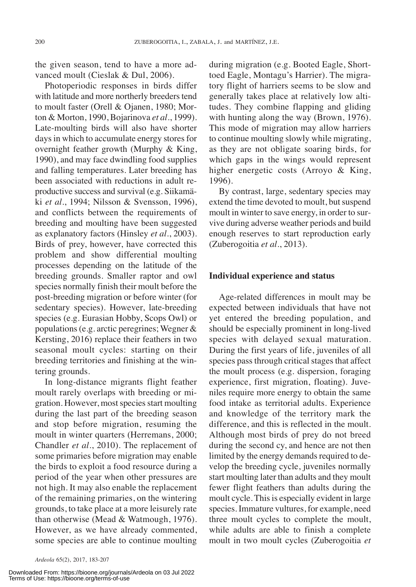the given season, tend to have a more advanced moult (Cieslak & Dul, 2006).

Photoperiodic responses in birds differ with latitude and more northerly breeders tend to moult faster (Orell & Ojanen, 1980; Morton & Morton, 1990, Bojarinova *et al*., 1999). Late-moulting birds will also have shorter days in which to accumulate energy stores for overnight feather growth (Murphy & King, 1990), and may face dwindling food supplies and falling temperatures. Later breeding has been associated with reductions in adult reproductive success and survival (e.g. Siikamäki *et al*., 1994; Nilsson & Svensson, 1996), and conflicts between the requirements of breeding and moulting have been suggested as explanatory factors (Hinsley *et al*., 2003). Birds of prey, however, have corrected this problem and show differential moulting processes depending on the latitude of the breeding grounds. Smaller raptor and owl species normally finish their moult before the post-breeding migration or before winter (for sedentary species). However, late-breeding species (e.g. Eurasian Hobby, Scops Owl) or populations(e.g. arctic peregrines; Wegner & Kersting, 2016) replace their feathers in two seasonal moult cycles: starting on their breeding territories and finishing at the wintering grounds.

In long-distance migrants flight feather moult rarely overlaps with breeding or migration. However, most species start moulting during the last part of the breeding season and stop before migration, resuming the moult in winter quarters (Herremans, 2000; Chandler *et al*., 2010). The replacement of some primaries before migration may enable the birds to exploit a food resource during a period of the year when other pressures are not high. It may also enable the replacement of the remaining primaries, on the wintering grounds, to take place at a more leisurely rate than otherwise (Mead & Watmough, 1976). However, as we have already commented, some species are able to continue moulting

*Ardeola* 65(2), 2017, 183-207

Downloaded From: https://bioone.org/journals/Ardeola on 03 Jul 2022 Terms of Use: https://bioone.org/terms-of-use

during migration (e.g. Booted Eagle, Shorttoed Eagle, Montagu's Harrier). The migratory flight of harriers seems to be slow and generally takes place at relatively low altitudes. They combine flapping and gliding with hunting along the way (Brown, 1976). This mode of migration may allow harriers to continue moulting slowly while migrating, as they are not obligate soaring birds, for which gaps in the wings would represent higher energetic costs (Arroyo & King, 1996).

By contrast, large, sedentary species may extend the time devoted to moult, but suspend moult in winter to save energy, in order to survive during adverse weather periods and build enough reserves to start reproduction early (Zuberogoitia *et al*., 2013).

#### **Individual experience and status**

Age-related differences in moult may be expected between individuals that have not yet entered the breeding population, and should be especially prominent in long-lived species with delayed sexual maturation. During the first years of life, juveniles of all species pass through critical stages that affect the moult process (e.g. dispersion, foraging experience, first migration, floating). Juveniles require more energy to obtain the same food intake as territorial adults. Experience and knowledge of the territory mark the difference, and this is reflected in the moult. Although most birds of prey do not breed during the second cy, and hence are not then limited by the energy demands required to develop the breeding cycle, juveniles normally start moulting later than adults and they moult fewer flight feathers than adults during the moult cycle. This is especially evident in large species. Immature vultures, for example, need three moult cycles to complete the moult, while adults are able to finish a complete moult in two moult cycles (Zuberogoitia *et*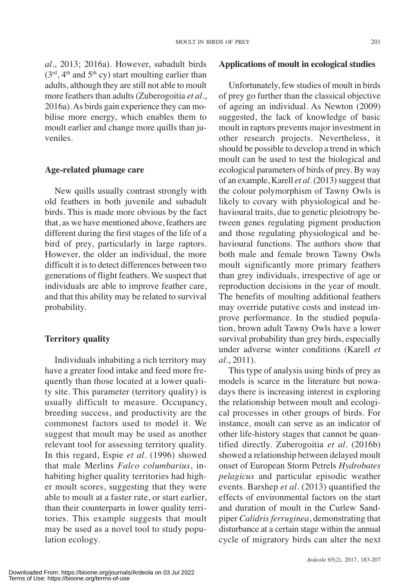*al*., 2013; 2016a). However, subadult birds  $(3<sup>rd</sup>, 4<sup>th</sup>$  and  $5<sup>th</sup>$  cy) start moulting earlier than adults, although they are still not able to moult more feathers than adults (Zuberogoitia *et al.*, 2016a).As birds gain experience they can mobilise more energy, which enables them to moult earlier and change more quills than juveniles.

#### **Age-related plumage care**

New quills usually contrast strongly with old feathers in both juvenile and subadult birds. This is made more obvious by the fact that, as we have mentioned above, feathers are different during the first stages of the life of a bird of prey, particularly in large raptors. However, the older an individual, the more difficult it is to detect differences between two generations of flight feathers. We suspect that individuals are able to improve feather care, and that this ability may be related to survival probability.

#### **Territory quality**

Individuals inhabiting a rich territory may have a greater food intake and feed more frequently than those located at a lower quality site. This parameter (territory quality) is usually difficult to measure. Occupancy, breeding success, and productivity are the commonest factors used to model it. We suggest that moult may be used as another relevant tool for assessing territory quality. In this regard, Espie *et al*. (1996) showed that male Merlins *Falco columbarius*, inhabiting higher quality territories had higher moult scores, suggesting that they were able to moult at a faster rate, or start earlier, than their counterparts in lower quality territories. This example suggests that moult may be used as a novel tool to study population ecology.

#### **Applications of moult in ecological studies**

Unfortunately, few studies of moult in birds of prey go further than the classical objective of ageing an individual. As Newton (2009) suggested, the lack of knowledge of basic moult in raptors prevents major investment in other research projects. Nevertheless, it should be possible to develop a trend in which moult can be used to test the biological and ecological parameters of birds of prey. By way of an example, Karell *et al.* (2013) suggest that the colour polymorphism of Tawny Owls is likely to covary with physiological and behavioural traits, due to genetic pleiotropy between genes regulating pigment production and those regulating physiological and behavioural functions. The authors show that both male and female brown Tawny Owls moult significantly more primary feathers than grey individuals, irrespective of age or reproduction decisions in the year of moult. The benefits of moulting additional feathers may override putative costs and instead improve performance. In the studied population, brown adult Tawny Owls have a lower survival probability than grey birds, especially under adverse winter conditions (Karell *et al*., 2011).

This type of analysis using birds of prey as models is scarce in the literature but nowadays there is increasing interest in exploring the relationship between moult and ecological processes in other groups of birds. For instance, moult can serve as an indicator of other life-history stages that cannot be quantified directly. Zuberogoitia *et al*. (2016b) showed a relationship between delayed moult onset of European Storm Petrels *Hydrobates pelagicus* and particular episodic weather events. Barshep *et al*. (2013) quantified the effects of environmental factors on the start and duration of moult in the Curlew Sandpiper *Calidris ferruginea*, demonstrating that disturbance at a certain stage within the annual cycle of migratory birds can alter the next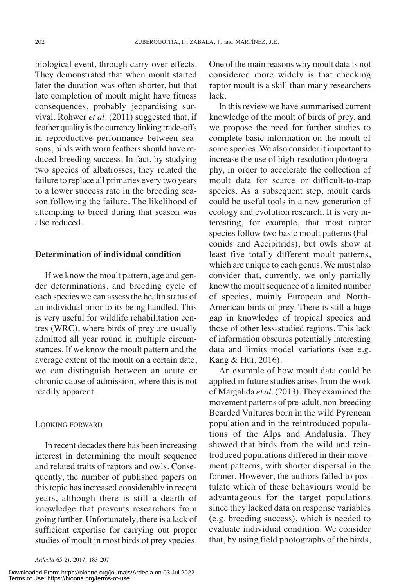biological event, through carry-over effects. They demonstrated that when moult started later the duration was often shorter, but that late completion of moult might have fitness consequences, probably jeopardising survival. Rohwer *et al*. (2011) suggested that, if feather quality is the currency linking trade-offs in reproductive performance between seasons, birds with worn feathers should have reduced breeding success. In fact, by studying two species of albatrosses, they related the failure to replace all primaries every two years to a lower success rate in the breeding season following the failure. The likelihood of attempting to breed during that season was also reduced.

#### **Determination of individual condition**

If we know the moult pattern, age and gender determinations, and breeding cycle of each species we can assessthe health status of an individual prior to its being handled. This is very useful for wildlife rehabilitation centres (WRC), where birds of prey are usually admitted all year round in multiple circumstances. If we know the moult pattern and the average extent of the moult on a certain date, we can distinguish between an acute or chronic cause of admission, where this is not readily apparent.

#### LOOKING FORWARD

In recent decades there has been increasing interest in determining the moult sequence and related traits of raptors and owls. Consequently, the number of published papers on this topic has increased considerably in recent years, although there is still a dearth of knowledge that prevents researchers from going further. Unfortunately, there is a lack of sufficient expertise for carrying out proper studies of moult in most birds of prey species.

Downloaded From: https://bioone.org/journals/Ardeola on 03 Jul 2022 Terms of Use: https://bioone.org/terms-of-use

One of the main reasons why moult data is not considered more widely is that checking raptor moult is a skill than many researchers lack.

In this review we have summarised current knowledge of the moult of birds of prey, and we propose the need for further studies to complete basic information on the moult of some species. We also consider it important to increase the use of high-resolution photography, in order to accelerate the collection of moult data for scarce or difficult-to-trap species. As a subsequent step, moult cards could be useful tools in a new generation of ecology and evolution research. It is very interesting, for example, that most raptor species follow two basic moult patterns (Falconids and Accipitrids), but owls show at least five totally different moult patterns, which are unique to each genus. We must also consider that, currently, we only partially know the moult sequence of a limited number of species, mainly European and North-American birds of prey. There is still a huge gap in knowledge of tropical species and those of other less-studied regions. This lack of information obscures potentially interesting data and limits model variations (see e.g. Kang & Hur, 2016).

An example of how moult data could be applied in future studies arises from the work of Margalida *et al*. (2013). They examined the movement patterns of pre-adult, non-breeding Bearded Vultures born in the wild Pyrenean population and in the reintroduced populations of the Alps and Andalusia. They showed that birds from the wild and reintroduced populations differed in their movement patterns, with shorter dispersal in the former. However, the authors failed to postulate which of these behaviours would be advantageous for the target populations since they lacked data on response variables (e.g. breeding success), which is needed to evaluate individual condition. We consider that, by using field photographs of the birds,

*Ardeola* 65(2), 2017, 183-207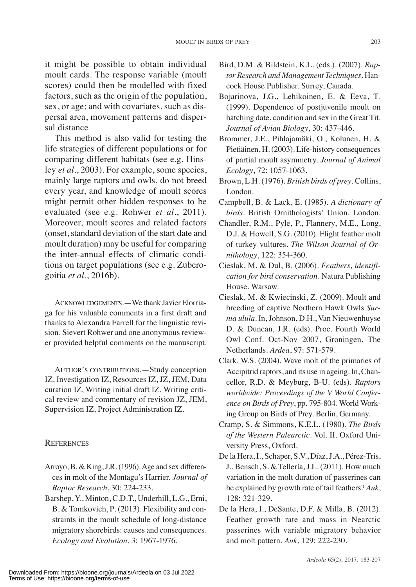it might be possible to obtain individual moult cards. The response variable (moult scores) could then be modelled with fixed factors, such as the origin of the population, sex, or age; and with covariates, such as dispersal area, movement patterns and dispersal distance

This method is also valid for testing the life strategies of different populations or for comparing different habitats (see e.g. Hinsley *et al*., 2003). For example, some species, mainly large raptors and owls, do not breed every year, and knowledge of moult scores might permit other hidden responses to be evaluated (see e.g. Rohwer *et al*., 2011). Moreover, moult scores and related factors (onset, standard deviation of the start date and moult duration) may be useful for comparing the inter-annual effects of climatic conditions on target populations (see e.g. Zuberogoitia *et al*., 2016b).

ACKNOWLEDGEMENTS. - We thank Javier Elorriaga for his valuable comments in a first draft and thanks to Alexandra Farrell for the linguistic revision. Sievert Rohwer and one anonymous reviewer provided helpful comments on the manuscript.

AUTHOR'S CONTRIBUTIONS.—Study conception IZ, Investigation IZ, Resources IZ, JZ, JEM, Data curation IZ, Writing initial draft IZ, Writing critical review and commentary of revision JZ, JEM, Supervision IZ, Project Administration IZ.

### **REFERENCES**

- Arroyo, B. & King, J.R. (1996). Age and sex differences in molt of the Montagu's Harrier. *Journal of Raptor Research*, 30: 224-233.
- Barshep, Y., Minton, C.D.T., Underhill, L.G., Erni, B. & Tomkovich, P. (2013). Flexibility and constraints in the moult schedule of long-distance migratory shorebirds: causes and consequences. *Ecology and Evolution*, 3: 1967-1976.
- Bird, D.M. & Bildstein, K.L. (eds.). (2007). *Raptor Research and Management Techniques*. Hancock House Publisher. Surrey, Canada.
- Bojarinova, J.G., Lehikoinen, E. & Eeva, T. (1999). Dependence of postjuvenile moult on hatching date, condition and sex in the Great Tit. *Journal of Avian Biology*, 30: 437-446.
- Brommer, J.E., Pihlajamäki, O., Kolunen, H. & Pietiäinen, H. (2003). Life-history consequences of partial moult asymmetry. *Journal of Animal Ecology*, 72: 1057-1063.
- Brown, L.H. (1976). *British birds of prey*. Collins, London.
- Campbell, B. & Lack, E. (1985). *A dictionary of birds*. British Ornithologists' Union. London.
- Chandler, R.M., Pyle, P., Flannery, M.E., Long, D.J. & Howell, S.G. (2010). Flight feather molt of turkey vultures. *The Wilson Journal of Ornithology*, 122: 354-360.
- Cieslak, M. & Dul, B. (2006). *Feathers, identification for bird conservation*. Natura Publishing House. Warsaw.
- Cieslak, M. & Kwiecinski, Z. (2009). Moult and breeding of captive Northern Hawk Owls *Surnia ulula*. In,Johnson, D.H., Van Nieuwenhuyse D. & Duncan, J.R. (eds). Proc. Fourth World Owl Conf. Oct-Nov 2007, Groningen, The Netherlands. *Ardea*, 97: 571-579.
- Clark, W.S. (2004). Wave molt of the primaries of Accipitrid raptors, and its use in ageing. In, Chancellor, R.D. & Meyburg, B-U. (eds). *Raptors worldwide: Proceedings of the V World Conference on Birds of Prey*, pp. 795-804. World Working Group on Birds of Prey. Berlin, Germany.
- Cramp, S. & Simmons, K.E.L. (1980). *The Birds of the Western Palearctic.* Vol. II. Oxford University Press, Oxford.
- De la Hera, I., Schaper, S.V., Díaz,J.A., Pérez-Tris, J., Bensch, S. & Tellería,J.L. (2011). How much variation in the molt duration of passerines can be explained by growth rate of tail feathers? *Auk*, 128: 321-329.
- De la Hera, I., DeSante, D.F. & Milla, B. (2012). Feather growth rate and mass in Nearctic passerines with variable migratory behavior and molt pattern. *Auk*, 129: 222-230.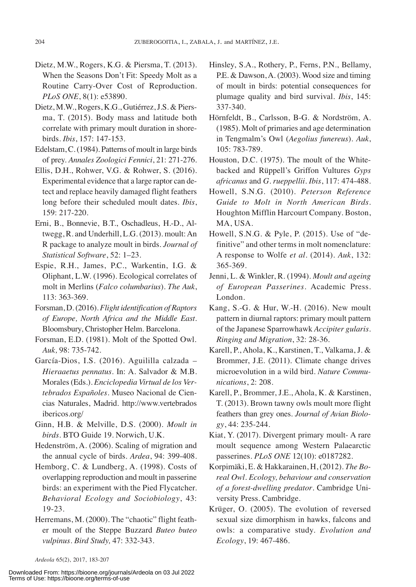- Dietz, M.W., Rogers, K.G. & Piersma, T. (2013). When the Seasons Don't Fit: Speedy Molt as a Routine Carry-Over Cost of Reproduction. *PLoS ONE*, 8(1): e53890.
- Dietz, M.W., Rogers, K.G., Gutiérrez,J.S. & Piersma, T. (2015). Body mass and latitude both correlate with primary moult duration in shorebirds. *Ibis*, 157: 147-153.
- Edelstam,C.(1984). Patterns of moult in large birds of prey. *Annales Zoologici Fennici*, 21: 271-276.
- Ellis, D.H., Rohwer, V.G. & Rohwer, S. (2016). Experimental evidence that a large raptor can detect and replace heavily damaged flight feathers long before their scheduled moult dates. *Ibis*, 159: 217-220.
- Erni, B., Bonnevie, B.T., Oschadleus, H.-D., Altwegg, R. and Underhill, L.G. (2013). moult:An R package to analyze moult in birds. *Journal of Statistical Software*, 52: 1–23.
- Espie, R.H., James, P.C., Warkentin, I.G. & Oliphant, L.W. (1996). Ecological correlates of molt in Merlins (*Falco columbarius*). *The Auk*, 113: 363-369.
- Forsman, D.(2016). *Flight identification of Raptors of Europe, North Africa and the Middle East*. Bloomsbury, Christopher Helm. Barcelona.
- Forsman, E.D. (1981). Molt of the Spotted Owl. *Auk,* 98: 735-742.
- García-Dios, I.S. (2016). Aguililla calzada *Hieraaetus pennatus*. In: A. Salvador & M.B. Morales(Eds.). *Enciclopedia Virtual de los Vertebrados Españoles*. Museo Nacional de Ciencias Naturales, Madrid. http://www.vertebrados ibericos.org/
- Ginn, H.B. & Melville, D.S. (2000). *Moult in birds*. BTO Guide 19. Norwich, U.K.
- Hedenström, A. (2006). Scaling of migration and the annual cycle of birds. *Ardea*, 94: 399-408.
- Hemborg, C. & Lundberg, A. (1998). Costs of overlapping reproduction and moult in passerine birds: an experiment with the Pied Flycatcher. *Behavioral Ecology and Sociobiology*, 43: 19-23.
- Herremans, M. (2000). The "chaotic" flight feather moult of the Steppe Buzzard *Buteo buteo vulpinus*. *Bird Study,* 47: 332-343.
- Hörnfeldt, B., Carlsson, B-G. & Nordström, A. (1985). Molt of primaries and age determination in Tengmalm's Owl (*Aegolius funereus*). *Auk*, 105: 783-789.
- Houston, D.C. (1975). The moult of the Whitebacked and Rüppell's Griffon Vultures *Gyps africanus* and *G. rueppellii*. *Ibis*, 117: 474-488.
- Howell, S.N.G. (2010). *Peterson Reference Guide to Molt in North American Birds*. Houghton Mifflin Harcourt Company. Boston, MA, USA.
- Howell, S.N.G. & Pyle, P. (2015). Use of "definitive" and other terms in molt nomenclature: A response to Wolfe *et al*. (2014). *Auk*, 132: 365-369.
- Jenni, L. & Winkler, R. (1994). *Moult and ageing of European Passerines*. Academic Press. London.
- Kang, S.-G. & Hur, W.-H. (2016). New moult pattern in diurnal raptors: primary moult pattern of the Japanese Sparrowhawk *Accipiter gularis*. *Ringing and Migration*, 32: 28-36.
- Karell, P., Ahola, K., Karstinen, T., Valkama, J. & Brommer, J.E. (2011). Climate change drives microevolution in a wild bird. *Nature Communications*, 2: 208.
- Karell, P., Brommer, J.E., Ahola, K. & Karstinen, T. (2013). Brown tawny owls moult more flight feathers than grey ones. *Journal of Avian Biology*, 44: 235-244.
- Kiat, Y. (2017). Divergent primary moult- A rare moult sequence among Western Palaearctic passerines. *PLoS ONE* 12(10): e0187282.
- Korpimäki, E. & Hakkarainen, H, (2012). *The Boreal Owl. Ecology, behaviour and conservation of a forest-dwelling predator*. Cambridge University Press. Cambridge.
- Krüger, O. (2005). The evolution of reversed sexual size dimorphism in hawks, falcons and owls: a comparative study. *Evolution and Ecology*, 19: 467-486.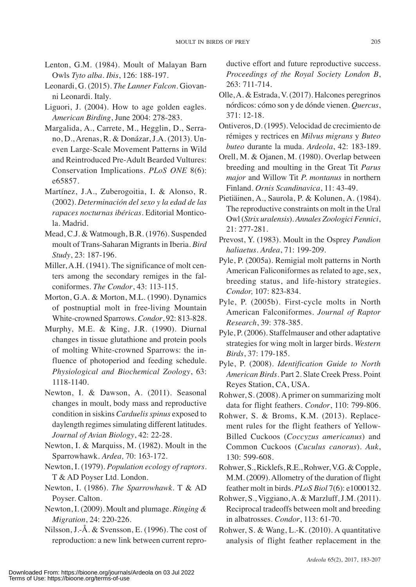- Lenton, G.M. (1984). Moult of Malayan Barn Owls *Tyto alba*. *Ibis*, 126: 188-197.
- Leonardi, G. (2015). *The Lanner Falcon*. Giovanni Leonardi. Italy.
- Liguori, J. (2004). How to age golden eagles. *American Birding*, June 2004: 278-283.
- Margalida, A., Carrete, M., Hegglin, D., Serrano, D., Arenas, R. & Donázar, J.A. (2013). Uneven Large-Scale Movement Patterns in Wild and Reintroduced Pre-Adult Bearded Vultures: Conservation Implications. *PLoS ONE* 8(6): e65857.
- Martínez, J.A., Zuberogoitia, I. & Alonso, R. (2002). *Determinación del sexo y la edad de las rapaces nocturnas ibéricas*. Editorial Monticola. Madrid.
- Mead, C.J. & Watmough, B.R. (1976). Suspended moult of Trans-Saharan Migrants in Iberia. *Bird Study*, 23: 187-196.
- Miller, A.H. (1941). The significance of molt centers among the secondary remiges in the falconiformes. *The Condor*, 43: 113-115.
- Morton, G.A. & Morton, M.L. (1990). Dynamics of postnuptial molt in free-living Mountain White-crowned Sparrows. *Condor*, 92: 813-828.
- Murphy, M.E. & King, J.R. (1990). Diurnal changes in tissue glutathione and protein pools of molting White-crowned Sparrows: the influence of photoperiod and feeding schedule. *Physiological and Biochemical Zoology*, 63: 1118-1140.
- Newton, I. & Dawson, A. (2011). Seasonal changes in moult, body mass and reproductive condition in siskins *Carduelis spinus* exposed to daylength regimes simulating different latitudes. *Journal of Avian Biology*, 42: 22-28.
- Newton, I. & Marquiss, M. (1982). Moult in the Sparrowhawk. *Ardea,* 70: 163-172.
- Newton, I. (1979). *Population ecology of raptors*. T & AD Poyser Ltd. London.
- Newton, I. (1986). *The Sparrowhawk*. T & AD Poyser. Calton.
- Newton, I. (2009). Moult and plumage. *Ringing & Migration*, 24: 220-226.
- Nilsson, J.-Å. & Svensson, E. (1996). The cost of reproduction: a new link between current repro-

ductive effort and future reproductive success. *Proceedings of the Royal Society London B*, 263: 711-714.

- Olle,A. & Estrada, V. (2017). Halcones peregrinos nórdicos: cómo son y de dónde vienen. *Quercus*, 371: 12-18.
- Ontiveros, D. (1995). Velocidad de crecimiento de rémiges y rectrices en *Milvus migrans* y *Buteo buteo* durante la muda. *Ardeola*, 42: 183-189.
- Orell, M. & Ojanen, M. (1980). Overlap between breeding and moulting in the Great Tit *Parus major* and Willow Tit *P. montanus* in northern Finland. *Ornis Scandinavica*, 11: 43-49.
- Pietiäinen, A., Saurola, P. & Kolunen, A. (1984). The reproductive constraints on molt in the Ural Owl(*Strix uralensis*). *Annales Zoologici Fennici*, 21: 277-281.
- Prevost, Y. (1983). Moult in the Osprey *Pandion haliaetus*. *Ardea*, 71: 199-209.
- Pyle, P. (2005a). Remigial molt patterns in North American Faliconiformes as related to age, sex, breeding status, and life-history strategies. *Condor,* 107: 823-834.
- Pyle, P. (2005b). First-cycle molts in North American Falconiformes. *Journal of Raptor Research*, 39: 378-385.
- Pyle, P. (2006). Staffelmauser and other adaptative strategies for wing molt in larger birds. *Western Birds*, 37: 179-185.
- Pyle, P. (2008). *Identification Guide to North American Birds*. Part 2. Slate Creek Press. Point Reyes Station, CA, USA.
- Rohwer, S. (2008).Aprimer on summarizing molt data for flight feathers. *Condor*, 110: 799-806.
- Rohwer, S. & Broms, K.M. (2013). Replacement rules for the flight feathers of Yellow-Billed Cuckoos (*Coccyzus americanus*) and Common Cuckoos (*Cuculus canorus*). *Auk*, 130: 599-608.
- Rohwer, S.,Ricklefs,R.E.,Rohwer,V.G. & Copple, M.M. (2009).Allometry of the duration of flight feather molt in birds. *PLoS Biol* 7(6): e1000132.
- Rohwer, S., Viggiano,A. & Marzluff,J.M. (2011). Reciprocal tradeoffs between molt and breeding in albatrosses. *Condor*, 113: 61-70.
- Rohwer, S. & Wang, L.-K. (2010). A quantitative analysis of flight feather replacement in the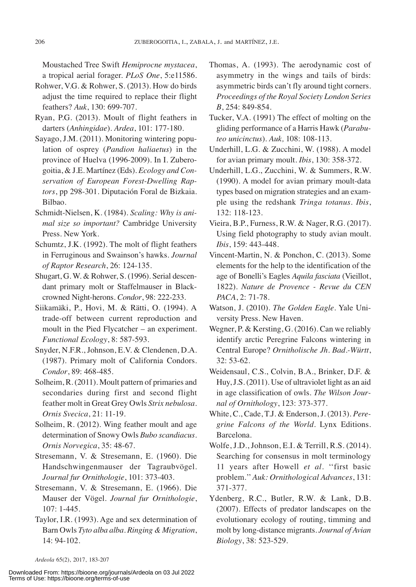Moustached Tree Swift *Hemiprocne mystacea*, a tropical aerial forager. *PLoS One*, 5:e11586.

- Rohwer, V.G. & Rohwer, S. (2013). How do birds adjust the time required to replace their flight feathers? *Auk*, 130: 699-707.
- Ryan, P.G. (2013). Moult of flight feathers in darters (*Anhingidae*). *Ardea*, 101: 177-180.
- Sayago, J.M. (2011). Monitoring wintering population of osprey (*Pandion haliaetus*) in the province of Huelva (1996-2009). In I. Zuberogoitia, & J.E. Martínez (Eds). *Ecology and Conservation of European Forest-Dwelling Raptors*, pp 298-301. Diputación Foral de Bizkaia. Bilbao.
- Schmidt-Nielsen, K. (1984). *Scaling: Why is animal size so important?* Cambridge University Press. New York.
- Schumtz, J.K. (1992). The molt of flight feathers in Ferruginous and Swainson's hawks. *Journal of Raptor Research*, 26: 124-135.
- Shugart, G. W. & Rohwer, S. (1996). Serial descendant primary molt or Staffelmauser in Blackcrowned Night-herons. *Condor*, 98: 222-233.
- Siikamäki, P., Hovi, M. & Rätti, O. (1994). A trade-off between current reproduction and moult in the Pied Flycatcher – an experiment. *Functional Ecology*, 8: 587-593.
- Snyder, N.F.R., Johnson, E.V. & Clendenen, D.A. (1987). Primary molt of California Condors. *Condor*, 89: 468-485.
- Solheim, R. (2011). Moult pattern of primaries and secondaries during first and second flight feather molt in Great Grey Owls *Strix nebulosa*. *Ornis Svecica*, 21: 11-19.
- Solheim, R. (2012). Wing feather moult and age determination of Snowy Owls *Bubo scandiacus*. *Ornis Norvegica*, 35: 48-67.
- Stresemann, V. & Stresemann, E. (1960). Die Handschwingenmauser der Tagraubvögel. *Journal fur Ornithologie*, 101: 373-403.
- Stresemann, V. & Stresemann, E. (1966). Die Mauser der Vögel. *Journal fur Ornithologie*, 107: 1-445.
- Taylor, I.R. (1993). Age and sex determination of Barn Owls *Tyto alba alba*. *Ringing & Migration*, 14: 94-102.
- Thomas, A. (1993). The aerodynamic cost of asymmetry in the wings and tails of birds: asymmetric birds can't fly around tight corners. *Proceedings of the Royal Society London Series B*, 254: 849-854.
- Tucker, V.A. (1991) The effect of molting on the gliding performance of a Harris Hawk (*Parabuteo unicinctus*). *Auk,* 108: 108-113.
- Underhill, L.G. & Zucchini, W. (1988). A model for avian primary moult. *Ibis*, 130: 358-372.
- Underhill, L.G., Zucchini, W. & Summers, R.W. (1990). A model for avian primary moult-data types based on migration strategies and an example using the redshank *Tringa totanus*. *Ibis*, 132: 118-123.
- Vieira, B.P., Furness, R.W. & Nager, R.G. (2017). Using field photography to study avian moult. *Ibis*, 159: 443-448.
- Vincent-Martin, N. & Ponchon, C. (2013). Some elements for the help to the identification of the age of Bonelli's Eagles *Aquila fasciata* (Vieillot, 1822). *Nature de Provence - Revue du CEN PACA*, 2: 71-78.
- Watson, J. (2010). *The Golden Eagle*. Yale University Press. New Haven.
- Wegner, P. & Kersting, G. (2016). Can we reliably identify arctic Peregrine Falcons wintering in Central Europe? *Ornitholische Jh. Bad.-Württ*,  $32:53-62.$
- Weidensaul, C.S., Colvin, B.A., Brinker, D.F. & Huy,J.S. (2011). Use of ultraviolet light as an aid in age classification of owls. *The Wilson Journal of Ornithology*, 123: 373-377.
- White, C., Cade, T.J. & Enderson, J. (2013). *Peregrine Falcons of the World*. Lynx Editions. Barcelona.
- Wolfe, J.D., Johnson, E.I. & Terrill, R.S. (2014). Searching for consensus in molt terminology 11 years after Howell *et al*. ''first basic problem.''*Auk: Ornithological Advances*, 131: 371-377.
- Ydenberg, R.C., Butler, R.W. & Lank, D.B. (2007). Effects of predator landscapes on the evolutionary ecology of routing, timming and molt by long-distance migrants. *Journal of Avian Biology*, 38: 523-529.